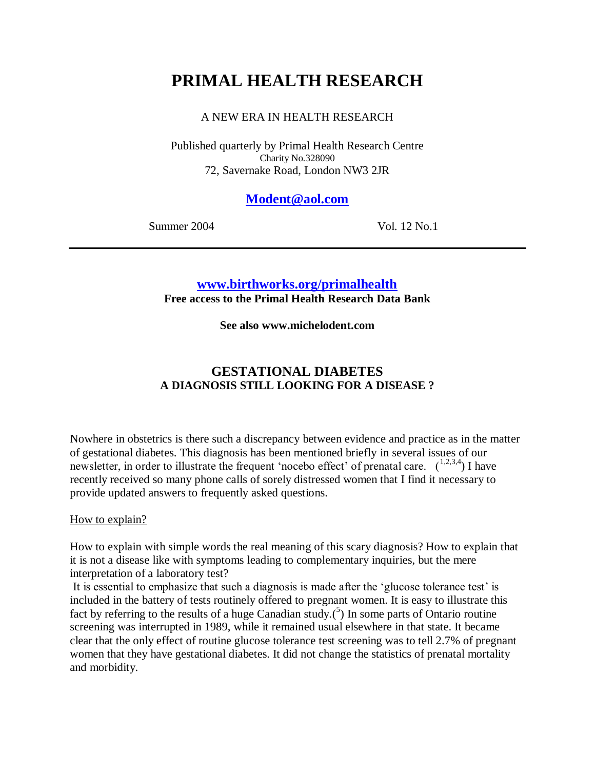# **PRIMAL HEALTH RESEARCH**

## A NEW ERA IN HEALTH RESEARCH

Published quarterly by Primal Health Research Centre Charity No.328090 72, Savernake Road, London NW3 2JR

## **[Modent@aol.com](mailto:Modent@aol.com)**

Summer 2004 Vol. 12 No.1

## **[www.birthworks.org/primalhealth](http://www.birthworks.org/primalhealth)**

**Free access to the Primal Health Research Data Bank**

**See also www.michelodent.com**

# **GESTATIONAL DIABETES A DIAGNOSIS STILL LOOKING FOR A DISEASE ?**

Nowhere in obstetrics is there such a discrepancy between evidence and practice as in the matter of gestational diabetes. This diagnosis has been mentioned briefly in several issues of our newsletter, in order to illustrate the frequent 'nocebo effect' of prenatal care.  $(1,2,3,4)$  I have recently received so many phone calls of sorely distressed women that I find it necessary to provide updated answers to frequently asked questions.

### How to explain?

How to explain with simple words the real meaning of this scary diagnosis? How to explain that it is not a disease like with symptoms leading to complementary inquiries, but the mere interpretation of a laboratory test?

It is essential to emphasize that such a diagnosis is made after the 'glucose tolerance test' is included in the battery of tests routinely offered to pregnant women. It is easy to illustrate this fact by referring to the results of a huge Canadian study. $(5)$  In some parts of Ontario routine screening was interrupted in 1989, while it remained usual elsewhere in that state. It became clear that the only effect of routine glucose tolerance test screening was to tell 2.7% of pregnant women that they have gestational diabetes. It did not change the statistics of prenatal mortality and morbidity.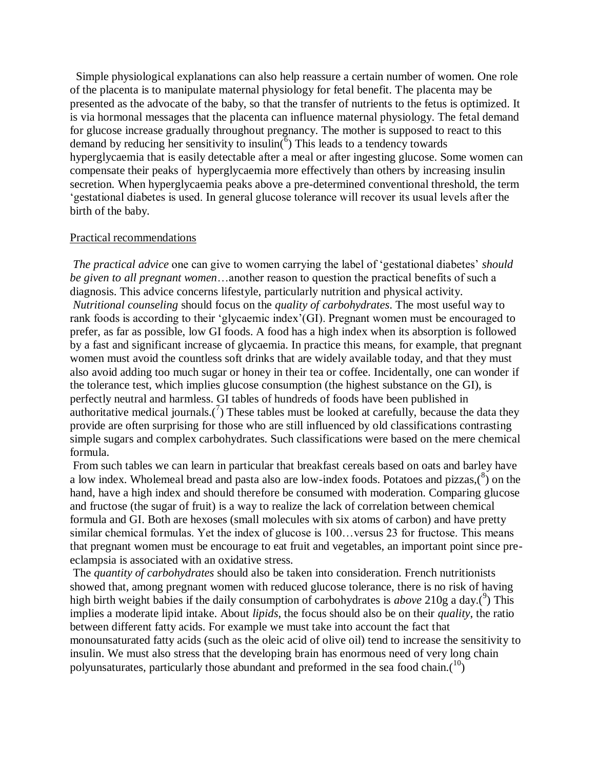Simple physiological explanations can also help reassure a certain number of women. One role of the placenta is to manipulate maternal physiology for fetal benefit. The placenta may be presented as the advocate of the baby, so that the transfer of nutrients to the fetus is optimized. It is via hormonal messages that the placenta can influence maternal physiology. The fetal demand for glucose increase gradually throughout pregnancy. The mother is supposed to react to this demand by reducing her sensitivity to insulin( $\delta$ ) This leads to a tendency towards hyperglycaemia that is easily detectable after a meal or after ingesting glucose. Some women can compensate their peaks of hyperglycaemia more effectively than others by increasing insulin secretion. When hyperglycaemia peaks above a pre-determined conventional threshold, the term 'gestational diabetes is used. In general glucose tolerance will recover its usual levels after the birth of the baby.

#### Practical recommendations

*The practical advice* one can give to women carrying the label of 'gestational diabetes' *should be given to all pregnant women*…another reason to question the practical benefits of such a diagnosis. This advice concerns lifestyle, particularly nutrition and physical activity. *Nutritional counseling* should focus on the *quality of carbohydrates*. The most useful way to rank foods is according to their 'glycaemic index'(GI). Pregnant women must be encouraged to prefer, as far as possible, low GI foods. A food has a high index when its absorption is followed by a fast and significant increase of glycaemia. In practice this means, for example, that pregnant women must avoid the countless soft drinks that are widely available today, and that they must also avoid adding too much sugar or honey in their tea or coffee. Incidentally, one can wonder if the tolerance test, which implies glucose consumption (the highest substance on the GI), is perfectly neutral and harmless. GI tables of hundreds of foods have been published in authoritative medical journals.<sup>(7</sup>) These tables must be looked at carefully, because the data they provide are often surprising for those who are still influenced by old classifications contrasting simple sugars and complex carbohydrates. Such classifications were based on the mere chemical formula.

From such tables we can learn in particular that breakfast cereals based on oats and barley have a low index. Wholemeal bread and pasta also are low-index foods. Potatoes and pizzas,  $\binom{8}{2}$  on the hand, have a high index and should therefore be consumed with moderation. Comparing glucose and fructose (the sugar of fruit) is a way to realize the lack of correlation between chemical formula and GI. Both are hexoses (small molecules with six atoms of carbon) and have pretty similar chemical formulas. Yet the index of glucose is 100... versus 23 for fructose. This means that pregnant women must be encourage to eat fruit and vegetables, an important point since preeclampsia is associated with an oxidative stress.

The *quantity of carbohydrates* should also be taken into consideration. French nutritionists showed that, among pregnant women with reduced glucose tolerance, there is no risk of having high birth weight babies if the daily consumption of carbohydrates is *above* 210g a day.<sup>(9</sup>) This implies a moderate lipid intake. About *lipids*, the focus should also be on their *quality*, the ratio between different fatty acids. For example we must take into account the fact that monounsaturated fatty acids (such as the oleic acid of olive oil) tend to increase the sensitivity to insulin. We must also stress that the developing brain has enormous need of very long chain polyunsaturates, particularly those abundant and preformed in the sea food chain. $(10)$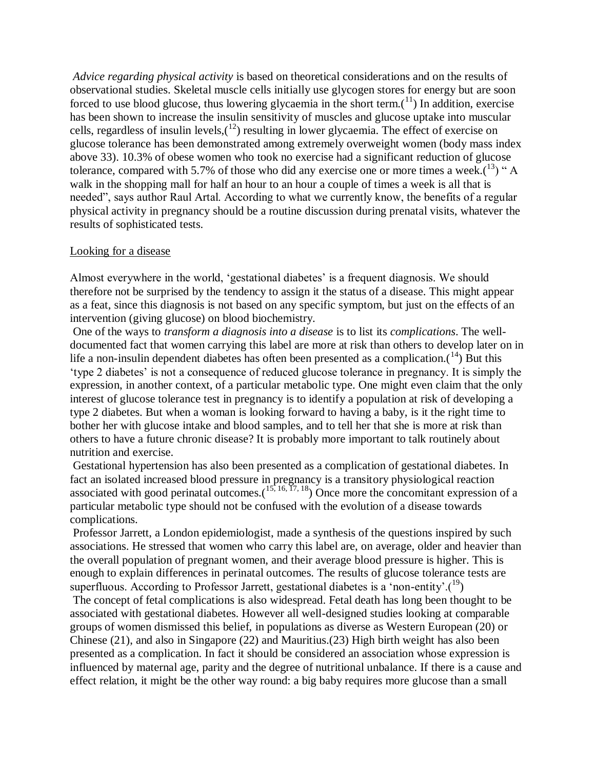*Advice regarding physical activity* is based on theoretical considerations and on the results of observational studies. Skeletal muscle cells initially use glycogen stores for energy but are soon forced to use blood glucose, thus lowering glycaemia in the short term. $(1)$  In addition, exercise has been shown to increase the insulin sensitivity of muscles and glucose uptake into muscular cells, regardless of insulin levels,  $(12)$  resulting in lower glycaemia. The effect of exercise on glucose tolerance has been demonstrated among extremely overweight women (body mass index above 33). 10.3% of obese women who took no exercise had a significant reduction of glucose tolerance, compared with 5.7% of those who did any exercise one or more times a week. $(13)$  "A walk in the shopping mall for half an hour to an hour a couple of times a week is all that is needed", says author Raul Artal. According to what we currently know, the benefits of a regular physical activity in pregnancy should be a routine discussion during prenatal visits, whatever the results of sophisticated tests.

#### Looking for a disease

Almost everywhere in the world, 'gestational diabetes' is a frequent diagnosis. We should therefore not be surprised by the tendency to assign it the status of a disease. This might appear as a feat, since this diagnosis is not based on any specific symptom, but just on the effects of an intervention (giving glucose) on blood biochemistry.

One of the ways to *transform a diagnosis into a disease* is to list its *complications*. The welldocumented fact that women carrying this label are more at risk than others to develop later on in life a non-insulin dependent diabetes has often been presented as a complication.<sup>(14)</sup> But this 'type 2 diabetes' is not a consequence of reduced glucose tolerance in pregnancy. It is simply the expression, in another context, of a particular metabolic type. One might even claim that the only interest of glucose tolerance test in pregnancy is to identify a population at risk of developing a type 2 diabetes. But when a woman is looking forward to having a baby, is it the right time to bother her with glucose intake and blood samples, and to tell her that she is more at risk than others to have a future chronic disease? It is probably more important to talk routinely about nutrition and exercise.

Gestational hypertension has also been presented as a complication of gestational diabetes. In fact an isolated increased blood pressure in pregnancy is a transitory physiological reaction associated with good perinatal outcomes. $(15, 16, 17, 18)$  Once more the concomitant expression of a particular metabolic type should not be confused with the evolution of a disease towards complications.

Professor Jarrett, a London epidemiologist, made a synthesis of the questions inspired by such associations. He stressed that women who carry this label are, on average, older and heavier than the overall population of pregnant women, and their average blood pressure is higher. This is enough to explain differences in perinatal outcomes. The results of glucose tolerance tests are superfluous. According to Professor Jarrett, gestational diabetes is a 'non-entity'. $(^{19})$ 

The concept of fetal complications is also widespread. Fetal death has long been thought to be associated with gestational diabetes. However all well-designed studies looking at comparable groups of women dismissed this belief, in populations as diverse as Western European (20) or Chinese (21), and also in Singapore (22) and Mauritius.(23) High birth weight has also been presented as a complication. In fact it should be considered an association whose expression is influenced by maternal age, parity and the degree of nutritional unbalance. If there is a cause and effect relation, it might be the other way round: a big baby requires more glucose than a small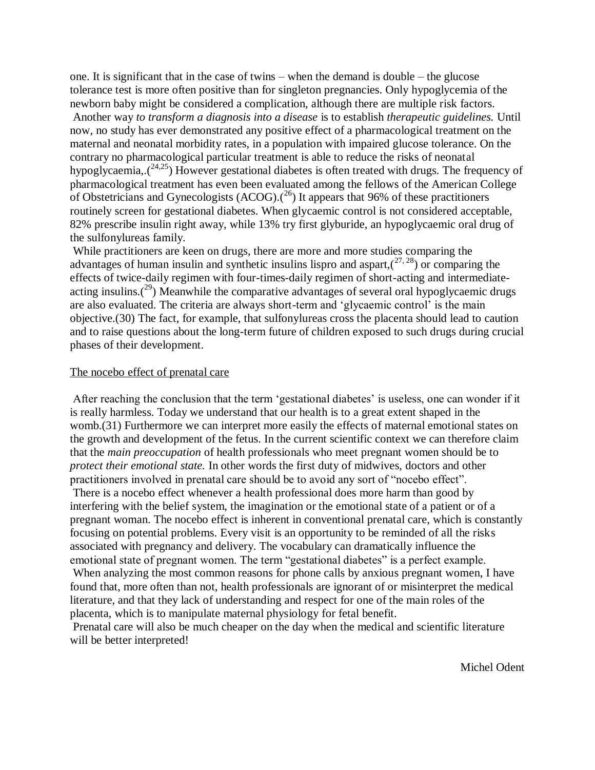one. It is significant that in the case of twins – when the demand is double – the glucose tolerance test is more often positive than for singleton pregnancies. Only hypoglycemia of the newborn baby might be considered a complication, although there are multiple risk factors.

Another way *to transform a diagnosis into a disease* is to establish *therapeutic guidelines.* Until now, no study has ever demonstrated any positive effect of a pharmacological treatment on the maternal and neonatal morbidity rates, in a population with impaired glucose tolerance. On the contrary no pharmacological particular treatment is able to reduce the risks of neonatal hypoglycaemia,. $(24,25)$  However gestational diabetes is often treated with drugs. The frequency of pharmacological treatment has even been evaluated among the fellows of the American College of Obstetricians and Gynecologists  $(ACOG)$ .<sup>(26</sup>) It appears that 96% of these practitioners routinely screen for gestational diabetes. When glycaemic control is not considered acceptable, 82% prescribe insulin right away, while 13% try first glyburide, an hypoglycaemic oral drug of the sulfonylureas family.

While practitioners are keen on drugs, there are more and more studies comparing the advantages of human insulin and synthetic insulins lispro and aspart, $(27, 28)$  or comparing the effects of twice-daily regimen with four-times-daily regimen of short-acting and intermediateacting insulins.<sup>(29)</sup> Meanwhile the comparative advantages of several oral hypoglycaemic drugs are also evaluated. The criteria are always short-term and 'glycaemic control' is the main objective.(30) The fact, for example, that sulfonylureas cross the placenta should lead to caution and to raise questions about the long-term future of children exposed to such drugs during crucial phases of their development.

#### The nocebo effect of prenatal care

After reaching the conclusion that the term 'gestational diabetes' is useless, one can wonder if it is really harmless. Today we understand that our health is to a great extent shaped in the womb.(31) Furthermore we can interpret more easily the effects of maternal emotional states on the growth and development of the fetus. In the current scientific context we can therefore claim that the *main preoccupation* of health professionals who meet pregnant women should be to *protect their emotional state.* In other words the first duty of midwives, doctors and other practitioners involved in prenatal care should be to avoid any sort of "nocebo effect".

There is a nocebo effect whenever a health professional does more harm than good by interfering with the belief system, the imagination or the emotional state of a patient or of a pregnant woman. The nocebo effect is inherent in conventional prenatal care, which is constantly focusing on potential problems. Every visit is an opportunity to be reminded of all the risks associated with pregnancy and delivery. The vocabulary can dramatically influence the emotional state of pregnant women. The term "gestational diabetes" is a perfect example.

When analyzing the most common reasons for phone calls by anxious pregnant women, I have found that, more often than not, health professionals are ignorant of or misinterpret the medical literature, and that they lack of understanding and respect for one of the main roles of the placenta, which is to manipulate maternal physiology for fetal benefit.

Prenatal care will also be much cheaper on the day when the medical and scientific literature will be better interpreted!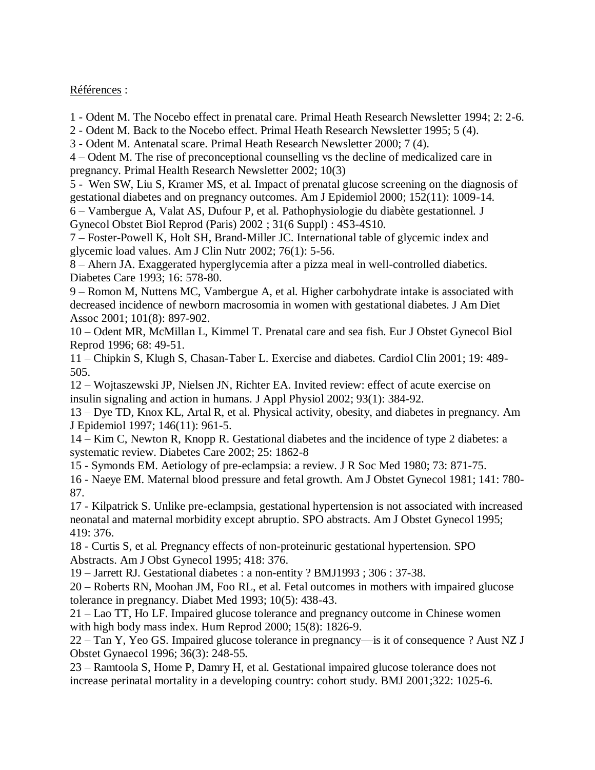Références :

1 - Odent M. The Nocebo effect in prenatal care. Primal Heath Research Newsletter 1994; 2: 2-6.

2 - Odent M. Back to the Nocebo effect. Primal Heath Research Newsletter 1995; 5 (4).

3 - Odent M. Antenatal scare. Primal Heath Research Newsletter 2000; 7 (4).

4 – Odent M. The rise of preconceptional counselling vs the decline of medicalized care in pregnancy. Primal Health Research Newsletter 2002; 10(3)

5 - Wen SW, Liu S, Kramer MS, et al. Impact of prenatal glucose screening on the diagnosis of gestational diabetes and on pregnancy outcomes. Am J Epidemiol 2000; 152(11): 1009-14.

6 – Vambergue A, Valat AS, Dufour P, et al. Pathophysiologie du diabète gestationnel. J Gynecol Obstet Biol Reprod (Paris) 2002 ; 31(6 Suppl) : 4S3-4S10.

7 – Foster-Powell K, Holt SH, Brand-Miller JC. International table of glycemic index and glycemic load values. Am J Clin Nutr 2002; 76(1): 5-56.

8 – Ahern JA. Exaggerated hyperglycemia after a pizza meal in well-controlled diabetics. Diabetes Care 1993; 16: 578-80.

9 – Romon M, Nuttens MC, Vambergue A, et al. Higher carbohydrate intake is associated with decreased incidence of newborn macrosomia in women with gestational diabetes. J Am Diet Assoc 2001; 101(8): 897-902.

10 – Odent MR, McMillan L, Kimmel T. Prenatal care and sea fish. Eur J Obstet Gynecol Biol Reprod 1996; 68: 49-51.

11 – Chipkin S, Klugh S, Chasan-Taber L. Exercise and diabetes. Cardiol Clin 2001; 19: 489- 505.

12 – Wojtaszewski JP, Nielsen JN, Richter EA. Invited review: effect of acute exercise on insulin signaling and action in humans. J Appl Physiol 2002; 93(1): 384-92.

13 – Dye TD, Knox KL, Artal R, et al. Physical activity, obesity, and diabetes in pregnancy. Am J Epidemiol 1997; 146(11): 961-5.

14 – Kim C, Newton R, Knopp R. Gestational diabetes and the incidence of type 2 diabetes: a systematic review. Diabetes Care 2002; 25: 1862-8

15 - Symonds EM. Aetiology of pre-eclampsia: a review. J R Soc Med 1980; 73: 871-75.

16 - Naeye EM. Maternal blood pressure and fetal growth. Am J Obstet Gynecol 1981; 141: 780- 87.

17 - Kilpatrick S. Unlike pre-eclampsia, gestational hypertension is not associated with increased neonatal and maternal morbidity except abruptio. SPO abstracts. Am J Obstet Gynecol 1995; 419: 376.

18 - Curtis S, et al. Pregnancy effects of non-proteinuric gestational hypertension. SPO Abstracts. Am J Obst Gynecol 1995; 418: 376.

19 – Jarrett RJ. Gestational diabetes : a non-entity ? BMJ1993 ; 306 : 37-38.

20 – Roberts RN, Moohan JM, Foo RL, et al. Fetal outcomes in mothers with impaired glucose tolerance in pregnancy. Diabet Med 1993; 10(5): 438-43.

21 – Lao TT, Ho LF. Impaired glucose tolerance and pregnancy outcome in Chinese women with high body mass index. Hum Reprod 2000; 15(8): 1826-9.

22 – Tan Y, Yeo GS. Impaired glucose tolerance in pregnancy—is it of consequence ? Aust NZ J Obstet Gynaecol 1996; 36(3): 248-55.

23 – Ramtoola S, Home P, Damry H, et al. Gestational impaired glucose tolerance does not increase perinatal mortality in a developing country: cohort study. BMJ 2001;322: 1025-6.